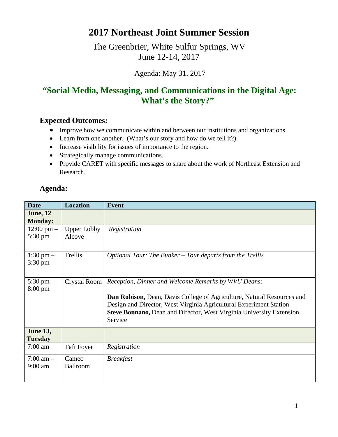## **2017 Northeast Joint Summer Session**

The Greenbrier, White Sulfur Springs, WV June 12-14, 2017

Agenda: May 31, 2017

## **"Social Media, Messaging, and Communications in the Digital Age: What's the Story?"**

## **Expected Outcomes:**

- Improve how we communicate within and between our institutions and organizations.
- Learn from one another. (What's our story and how do we tell it?)
- Increase visibility for issues of importance to the region.
- Strategically manage communications.
- Provide CARET with specific messages to share about the work of Northeast Extension and Research.

## **Agenda:**

| <b>Date</b>                               | <b>Location</b>              | <b>Event</b>                                                                                                                                                                                                                                                                                  |
|-------------------------------------------|------------------------------|-----------------------------------------------------------------------------------------------------------------------------------------------------------------------------------------------------------------------------------------------------------------------------------------------|
| <b>June</b> , 12<br><b>Monday:</b>        |                              |                                                                                                                                                                                                                                                                                               |
| $12:00 \text{ pm} -$<br>$5:30 \text{ pm}$ | <b>Upper Lobby</b><br>Alcove | Registration                                                                                                                                                                                                                                                                                  |
| $1:30 \text{ pm} -$<br>$3:30 \text{ pm}$  | Trellis                      | Optional Tour: The Bunker – Tour departs from the Trellis                                                                                                                                                                                                                                     |
| $5:30 \text{ pm} -$<br>$8:00 \text{ pm}$  | Crystal Room                 | Reception, Dinner and Welcome Remarks by WVU Deans:<br>Dan Robison, Dean, Davis College of Agriculture, Natural Resources and<br>Design and Director, West Virginia Agricultural Experiment Station<br><b>Steve Bonnano, Dean and Director, West Virginia University Extension</b><br>Service |
| <b>June 13,</b><br><b>Tuesday</b>         |                              |                                                                                                                                                                                                                                                                                               |
| $7:00$ am                                 | <b>Taft Foyer</b>            | Registration                                                                                                                                                                                                                                                                                  |
| $7:00 \text{ am } -$<br>$9:00$ am         | Cameo<br><b>Ballroom</b>     | <b>Breakfast</b>                                                                                                                                                                                                                                                                              |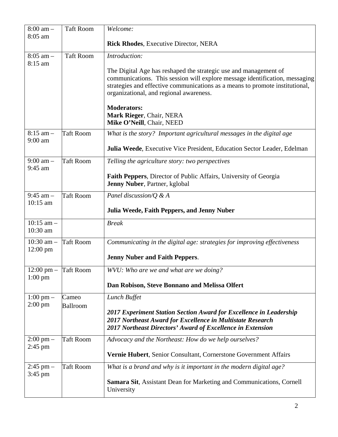| $8:00$ am $-$<br>8:05 am                  | <b>Taft Room</b>  | Welcome:                                                                                                                                                                                                                                                                   |
|-------------------------------------------|-------------------|----------------------------------------------------------------------------------------------------------------------------------------------------------------------------------------------------------------------------------------------------------------------------|
|                                           |                   | <b>Rick Rhodes, Executive Director, NERA</b>                                                                                                                                                                                                                               |
| $8:05$ am $-$<br>8:15 am                  | <b>Taft Room</b>  | Introduction:                                                                                                                                                                                                                                                              |
|                                           |                   | The Digital Age has reshaped the strategic use and management of<br>communications. This session will explore message identification, messaging<br>strategies and effective communications as a means to promote institutional,<br>organizational, and regional awareness. |
|                                           |                   | <b>Moderators:</b><br>Mark Rieger, Chair, NERA<br>Mike O'Neill, Chair, NEED                                                                                                                                                                                                |
| $8:15$ am $-$<br>$9:00$ am                | <b>Taft Room</b>  | What is the story? Important agricultural messages in the digital age                                                                                                                                                                                                      |
|                                           |                   | Julia Weede, Executive Vice President, Education Sector Leader, Edelman                                                                                                                                                                                                    |
| $9:00$ am $-$<br>9:45 am                  | <b>Taft Room</b>  | Telling the agriculture story: two perspectives                                                                                                                                                                                                                            |
|                                           |                   | <b>Faith Peppers, Director of Public Affairs, University of Georgia</b><br>Jenny Nuber, Partner, kglobal                                                                                                                                                                   |
| $9:45$ am $-$<br>$10:15$ am               | <b>Taft Room</b>  | Panel discussion/Q & A                                                                                                                                                                                                                                                     |
|                                           |                   | Julia Weede, Faith Peppers, and Jenny Nuber                                                                                                                                                                                                                                |
| $10:15$ am $-$<br>10:30 am                |                   | <b>Break</b>                                                                                                                                                                                                                                                               |
| 10:30 am $-$<br>$12:00$ pm                | <b>Taft Room</b>  | Communicating in the digital age: strategies for improving effectiveness                                                                                                                                                                                                   |
|                                           |                   | <b>Jenny Nuber and Faith Peppers.</b>                                                                                                                                                                                                                                      |
| $12:00 \text{ pm}$ -<br>$1:00 \text{ pm}$ | <b>Taft Room</b>  | WVU: Who are we and what are we doing?                                                                                                                                                                                                                                     |
|                                           |                   | Dan Robison, Steve Bonnano and Melissa Olfert                                                                                                                                                                                                                              |
| $1:00 \text{ pm} -$<br>$2:00 \text{ pm}$  | Cameo<br>Ballroom | Lunch Buffet                                                                                                                                                                                                                                                               |
|                                           |                   | 2017 Experiment Station Section Award for Excellence in Leadership<br>2017 Northeast Award for Excellence in Multistate Research<br>2017 Northeast Directors' Award of Excellence in Extension                                                                             |
| $2:00 \text{ pm} -$<br>$2:45$ pm          | <b>Taft Room</b>  | Advocacy and the Northeast: How do we help ourselves?                                                                                                                                                                                                                      |
|                                           |                   | Vernie Hubert, Senior Consultant, Cornerstone Government Affairs                                                                                                                                                                                                           |
| $2:45$ pm $-$<br>$3:45$ pm                | <b>Taft Room</b>  | What is a brand and why is it important in the modern digital age?                                                                                                                                                                                                         |
|                                           |                   | <b>Samara Sit, Assistant Dean for Marketing and Communications, Cornell</b><br>University                                                                                                                                                                                  |